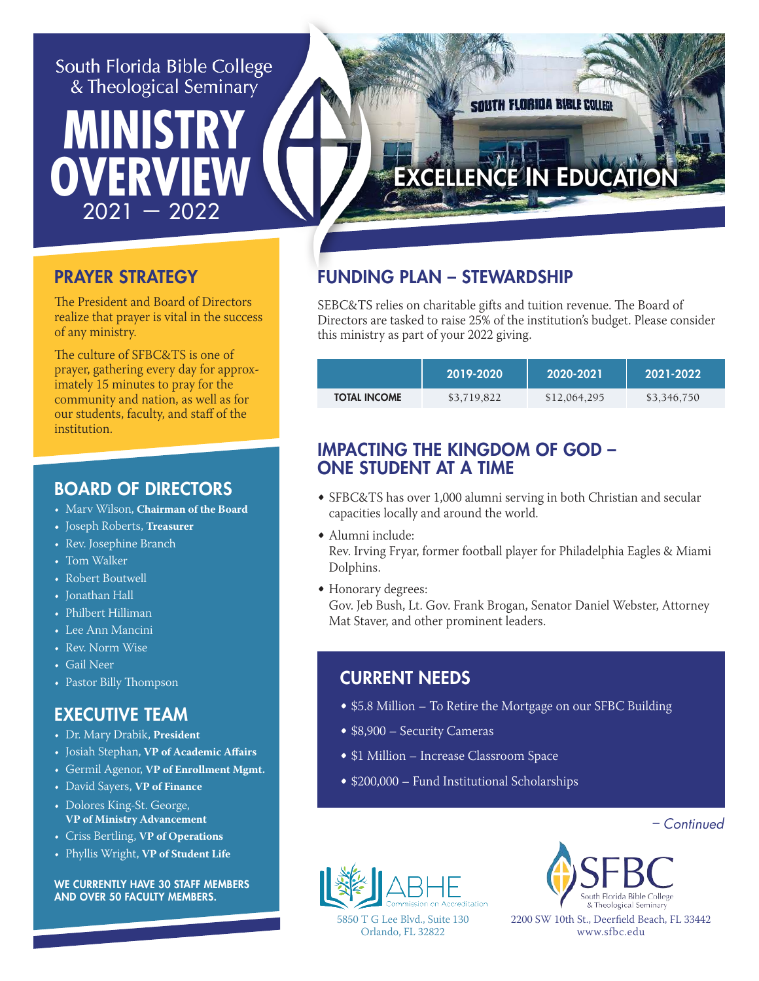#### South Florida Bible College & Theological Seminary

 **MINISTRY**

 $\overline{2021} - 2022$ 

# EXCELLENCE IN EDUCATION

**SOUTH FLORIDA BIBLE COLLEGE** 

#### PRAYER STRATEGY

**OVERV** 

The President and Board of Directors realize that prayer is vital in the success of any ministry.

The culture of SFBC&TS is one of prayer, gathering every day for approximately 15 minutes to pray for the community and nation, as well as for our students, faculty, and staff of the institution.

#### BOARD OF DIRECTORS

- Marv Wilson, **Chairman of the Board**
- Joseph Roberts, **Treasurer**
- Rev. Josephine Branch
- Tom Walker
- Robert Boutwell
- Jonathan Hall
- Philbert Hilliman
- Lee Ann Mancini
- Rev. Norm Wise
- Gail Neer
- Pastor Billy Thompson

#### EXECUTIVE TEAM

- Dr. Mary Drabik, **President**
- Josiah Stephan, **VP of Academic Affairs**
- Germil Agenor, **VP of Enrollment Mgmt.**
- David Sayers, **VP of Finance**
- Dolores King-St. George, **VP of Ministry Advancement**
- Criss Bertling, **VP of Operations**
- Phyllis Wright, **VP of Student Life**

WE CURRENTLY HAVE 30 STAFF MEMBERS AND OVER 50 FACULTY MEMBERS.

## FUNDING PLAN – STEWARDSHIP

SEBC&TS relies on charitable gifts and tuition revenue. The Board of Directors are tasked to raise 25% of the institution's budget. Please consider this ministry as part of your 2022 giving.

|                     | 2019-2020   | 2020-2021    | 2021-2022   |
|---------------------|-------------|--------------|-------------|
| <b>TOTAL INCOME</b> | \$3,719,822 | \$12,064,295 | \$3,346,750 |

#### IMPACTING THE KINGDOM OF GOD – ONE STUDENT AT A TIME

- SFBC&TS has over 1,000 alumni serving in both Christian and secular capacities locally and around the world.
- Alumni include: Rev. Irving Fryar, former football player for Philadelphia Eagles & Miami Dolphins.
- Honorary degrees:

Gov. Jeb Bush, Lt. Gov. Frank Brogan, Senator Daniel Webster, Attorney Mat Staver, and other prominent leaders.

#### CURRENT NEEDS

- \$5.8 Million To Retire the Mortgage on our SFBC Building
- \$8,900 Security Cameras
- \$1 Million Increase Classroom Space
- \$200,000 Fund Institutional Scholarships

– Continued



South Elorida Bible Colleg & Theological Seminar

5850 T G Lee Blvd., Suite 130 Orlando, FL 32822

2200 SW 10th St., Deerfield Beach, FL 33442 www.sfbc.edu